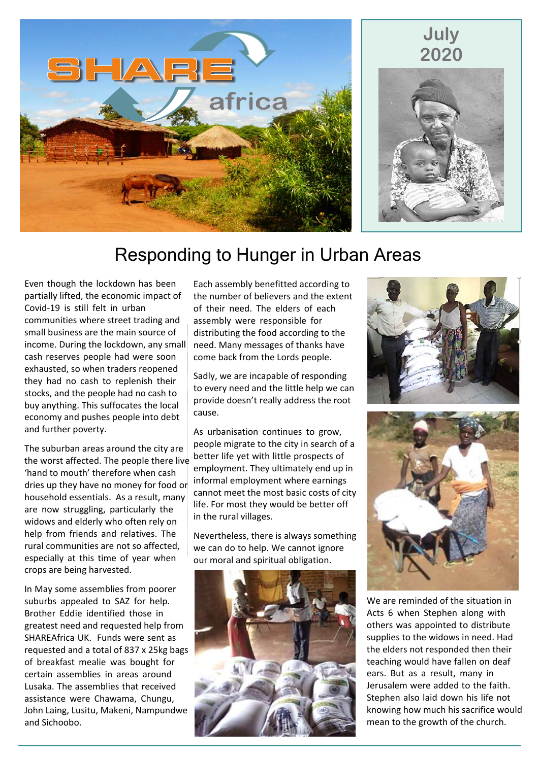



## Responding to Hunger in Urban Areas

Even though the lockdown has been partially lifted, the economic impact of Covid-19 is still felt in urban communities where street trading and small business are the main source of income. During the lockdown, any small cash reserves people had were soon exhausted, so when traders reopened they had no cash to replenish their stocks, and the people had no cash to buy anything. This suffocates the local economy and pushes people into debt and further poverty.

The suburban areas around the city are the worst affected. The people there live 'hand to mouth' therefore when cash dries up they have no money for food or household essentials. As a result, many are now struggling, particularly the widows and elderly who often rely on help from friends and relatives. The rural communities are not so affected, especially at this time of year when crops are being harvested.

In May some assemblies from poorer suburbs appealed to SAZ for help. Brother Eddie identified those in greatest need and requested help from SHAREAfrica UK. Funds were sent as requested and a total of 837 x 25kg bags of breakfast mealie was bought for certain assemblies in areas around Lusaka. The assemblies that received assistance were Chawama, Chungu, John Laing, Lusitu, Makeni, Nampundwe and Sichoobo.

Each assembly benefitted according to the number of believers and the extent of their need. The elders of each assembly were responsible for distributing the food according to the need. Many messages of thanks have come back from the Lords people.

Sadly, we are incapable of responding to every need and the little help we can provide doesn't really address the root cause.

As urbanisation continues to grow, people migrate to the city in search of a better life yet with little prospects of employment. They ultimately end up in informal employment where earnings cannot meet the most basic costs of city life. For most they would be better off in the rural villages.

Nevertheless, there is always something we can do to help. We cannot ignore our moral and spiritual obligation.







We are reminded of the situation in Acts 6 when Stephen along with others was appointed to distribute supplies to the widows in need. Had the elders not responded then their teaching would have fallen on deaf ears. But as a result, many in Jerusalem were added to the faith. Stephen also laid down his life not knowing how much his sacrifice would mean to the growth of the church.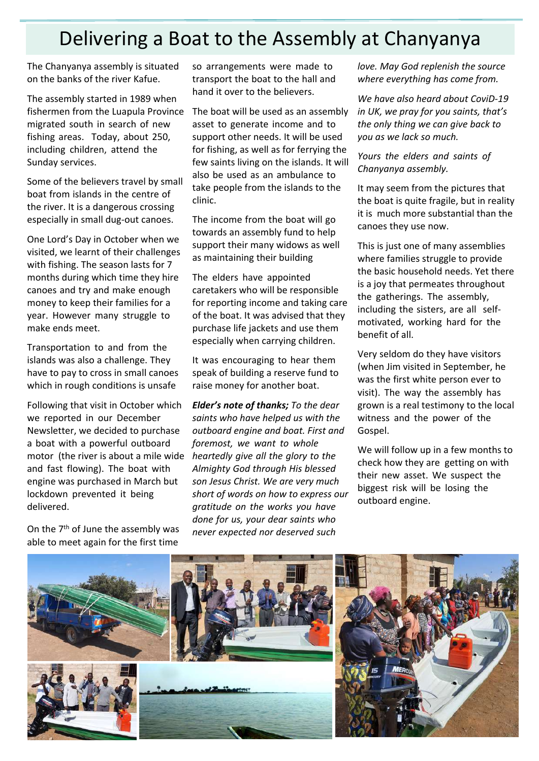# Delivering a Boat to the Assembly at Chanyanya

The Chanyanya assembly is situated on the banks of the river Kafue.

The assembly started in 1989 when fishermen from the Luapula Province migrated south in search of new fishing areas. Today, about 250, including children, attend the Sunday services.

Some of the believers travel by small boat from islands in the centre of the river. It is a dangerous crossing especially in small dug-out canoes.

One Lord's Day in October when we visited, we learnt of their challenges with fishing. The season lasts for 7 months during which time they hire canoes and try and make enough money to keep their families for a year. However many struggle to make ends meet.

Transportation to and from the islands was also a challenge. They have to pay to cross in small canoes which in rough conditions is unsafe

Following that visit in October which we reported in our December Newsletter, we decided to purchase a boat with a powerful outboard motor (the river is about a mile wide and fast flowing). The boat with engine was purchased in March but lockdown prevented it being delivered.

On the 7<sup>th</sup> of June the assembly was able to meet again for the first time

so arrangements were made to transport the boat to the hall and hand it over to the believers.

The boat will be used as an assembly asset to generate income and to support other needs. It will be used for fishing, as well as for ferrying the few saints living on the islands. It will also be used as an ambulance to take people from the islands to the clinic.

The income from the boat will go towards an assembly fund to help support their many widows as well as maintaining their building

The elders have appointed caretakers who will be responsible for reporting income and taking care of the boat. It was advised that they purchase life jackets and use them especially when carrying children.

It was encouraging to hear them speak of building a reserve fund to raise money for another boat.

*Elder's note of thanks; To the dear saints who have helped us with the outboard engine and boat. First and foremost, we want to whole heartedly give all the glory to the Almighty God through His blessed son Jesus Christ. We are very much short of words on how to express our gratitude on the works you have done for us, your dear saints who never expected nor deserved such*

*love. May God replenish the source where everything has come from.*

*We have also heard about CoviD-19 in UK, we pray for you saints, that's the only thing we can give back to you as we lack so much.*

*Yours the elders and saints of Chanyanya assembly.*

It may seem from the pictures that the boat is quite fragile, but in reality it is much more substantial than the canoes they use now.

This is just one of many assemblies where families struggle to provide the basic household needs. Yet there is a joy that permeates throughout the gatherings. The assembly, including the sisters, are all selfmotivated, working hard for the benefit of all.

Very seldom do they have visitors (when Jim visited in September, he was the first white person ever to visit). The way the assembly has grown is a real testimony to the local witness and the power of the Gospel.

We will follow up in a few months to check how they are getting on with their new asset. We suspect the biggest risk will be losing the outboard engine.

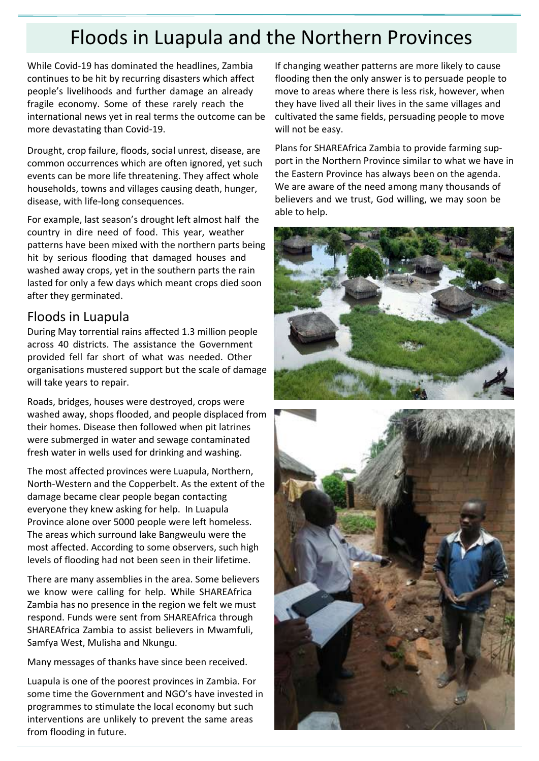# Floods in Luapula and the Northern Provinces

While Covid-19 has dominated the headlines, Zambia continues to be hit by recurring disasters which affect people's livelihoods and further damage an already fragile economy. Some of these rarely reach the international news yet in real terms the outcome can be more devastating than Covid-19.

Drought, crop failure, floods, social unrest, disease, are common occurrences which are often ignored, yet such events can be more life threatening. They affect whole households, towns and villages causing death, hunger, disease, with life-long consequences.

For example, last season's drought left almost half the country in dire need of food. This year, weather patterns have been mixed with the northern parts being hit by serious flooding that damaged houses and washed away crops, yet in the southern parts the rain lasted for only a few days which meant crops died soon after they germinated.

### Floods in Luapula

During May torrential rains affected 1.3 million people across 40 districts. The assistance the Government provided fell far short of what was needed. Other organisations mustered support but the scale of damage will take years to repair.

Roads, bridges, houses were destroyed, crops were washed away, shops flooded, and people displaced from their homes. Disease then followed when pit latrines were submerged in water and sewage contaminated fresh water in wells used for drinking and washing.

The most affected provinces were Luapula, Northern, North-Western and the Copperbelt. As the extent of the damage became clear people began contacting everyone they knew asking for help. In Luapula Province alone over 5000 people were left homeless. The areas which surround lake Bangweulu were the most affected. According to some observers, such high levels of flooding had not been seen in their lifetime.

There are many assemblies in the area. Some believers we know were calling for help. While SHAREAfrica Zambia has no presence in the region we felt we must respond. Funds were sent from SHAREAfrica through SHAREAfrica Zambia to assist believers in Mwamfuli, Samfya West, Mulisha and Nkungu.

Many messages of thanks have since been received.

Luapula is one of the poorest provinces in Zambia. For some time the Government and NGO's have invested in programmes to stimulate the local economy but such interventions are unlikely to prevent the same areas from flooding in future.

If changing weather patterns are more likely to cause flooding then the only answer is to persuade people to move to areas where there is less risk, however, when they have lived all their lives in the same villages and cultivated the same fields, persuading people to move will not be easy.

Plans for SHAREAfrica Zambia to provide farming support in the Northern Province similar to what we have in the Eastern Province has always been on the agenda. We are aware of the need among many thousands of believers and we trust, God willing, we may soon be able to help.



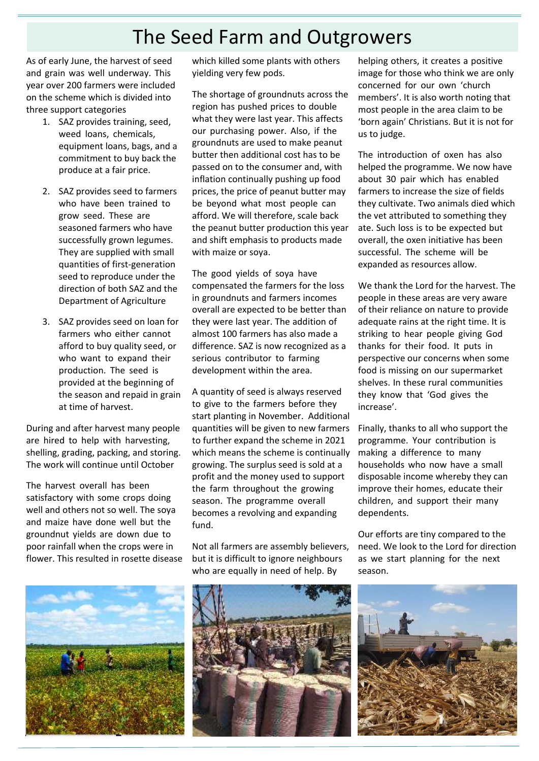# The Seed Farm and Outgrowers

As of early June, the harvest of seed and grain was well underway. This year over 200 farmers were included on the scheme which is divided into three support categories

- 1. SAZ provides training, seed, weed loans, chemicals, equipment loans, bags, and a commitment to buy back the produce at a fair price.
- 2. SAZ provides seed to farmers who have been trained to grow seed. These are seasoned farmers who have successfully grown legumes. They are supplied with small quantities of first-generation seed to reproduce under the direction of both SAZ and the Department of Agriculture
- 3. SAZ provides seed on loan for farmers who either cannot afford to buy quality seed, or who want to expand their production. The seed is provided at the beginning of the season and repaid in grain at time of harvest.

During and after harvest many people are hired to help with harvesting, shelling, grading, packing, and storing. The work will continue until October

The harvest overall has been satisfactory with some crops doing well and others not so well. The soya and maize have done well but the groundnut yields are down due to poor rainfall when the crops were in flower. This resulted in rosette disease



which killed some plants with others yielding very few pods.

The shortage of groundnuts across the region has pushed prices to double what they were last year. This affects our purchasing power. Also, if the groundnuts are used to make peanut butter then additional cost has to be passed on to the consumer and, with inflation continually pushing up food prices, the price of peanut butter may be beyond what most people can afford. We will therefore, scale back the peanut butter production this year and shift emphasis to products made with maize or soya.

The good yields of soya have compensated the farmers for the loss in groundnuts and farmers incomes overall are expected to be better than they were last year. The addition of almost 100 farmers has also made a difference. SAZ is now recognized as a serious contributor to farming development within the area.

A quantity of seed is always reserved to give to the farmers before they start planting in November. Additional quantities will be given to new farmers to further expand the scheme in 2021 which means the scheme is continually growing. The surplus seed is sold at a profit and the money used to support the farm throughout the growing season. The programme overall becomes a revolving and expanding fund.

Not all farmers are assembly believers, but it is difficult to ignore neighbours who are equally in need of help. By



helping others, it creates a positive image for those who think we are only concerned for our own 'church members'. It is also worth noting that most people in the area claim to be 'born again' Christians. But it is not for us to judge.

The introduction of oxen has also helped the programme. We now have about 30 pair which has enabled farmers to increase the size of fields they cultivate. Two animals died which the vet attributed to something they ate. Such loss is to be expected but overall, the oxen initiative has been successful. The scheme will be expanded as resources allow.

We thank the Lord for the harvest. The people in these areas are very aware of their reliance on nature to provide adequate rains at the right time. It is striking to hear people giving God thanks for their food. It puts in perspective our concerns when some food is missing on our supermarket shelves. In these rural communities they know that 'God gives the increase'.

Finally, thanks to all who support the programme. Your contribution is making a difference to many households who now have a small disposable income whereby they can improve their homes, educate their children, and support their many dependents.

Our efforts are tiny compared to the need. We look to the Lord for direction as we start planning for the next season.

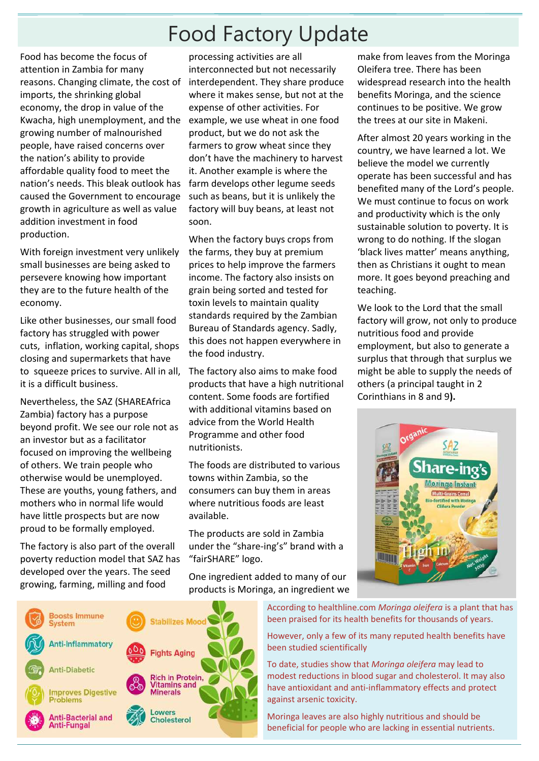# Food Factory Update

Food has become the focus of attention in Zambia for many reasons. Changing climate, the cost of imports, the shrinking global economy, the drop in value of the Kwacha, high unemployment, and the growing number of malnourished people, have raised concerns over the nation's ability to provide affordable quality food to meet the nation's needs. This bleak outlook has caused the Government to encourage growth in agriculture as well as value addition investment in food production.

With foreign investment very unlikely small businesses are being asked to persevere knowing how important they are to the future health of the economy.

Like other businesses, our small food factory has struggled with power cuts, inflation, working capital, shops closing and supermarkets that have to squeeze prices to survive. All in all, it is a difficult business.

Nevertheless, the SAZ (SHAREAfrica Zambia) factory has a purpose beyond profit. We see our role not as an investor but as a facilitator focused on improving the wellbeing of others. We train people who otherwise would be unemployed. These are youths, young fathers, and mothers who in normal life would have little prospects but are now proud to be formally employed.

The factory is also part of the overall poverty reduction model that SAZ has developed over the years. The seed growing, farming, milling and food

processing activities are all interconnected but not necessarily interdependent. They share produce where it makes sense, but not at the expense of other activities. For example, we use wheat in one food product, but we do not ask the farmers to grow wheat since they don't have the machinery to harvest it. Another example is where the farm develops other legume seeds such as beans, but it is unlikely the factory will buy beans, at least not soon.

When the factory buys crops from the farms, they buy at premium prices to help improve the farmers income. The factory also insists on grain being sorted and tested for toxin levels to maintain quality standards required by the Zambian Bureau of Standards agency. Sadly, this does not happen everywhere in the food industry.

The factory also aims to make food products that have a high nutritional content. Some foods are fortified with additional vitamins based on advice from the World Health Programme and other food nutritionists.

The foods are distributed to various towns within Zambia, so the consumers can buy them in areas where nutritious foods are least available.

The products are sold in Zambia under the "share-ing's" brand with a "fairSHARE" logo.

One ingredient added to many of our products is Moringa, an ingredient we make from leaves from the Moringa Oleifera tree. There has been widespread research into the health benefits Moringa, and the science continues to be positive. We grow the trees at our site in Makeni.

After almost 20 years working in the country, we have learned a lot. We believe the model we currently operate has been successful and has benefited many of the Lord's people. We must continue to focus on work and productivity which is the only sustainable solution to poverty. It is wrong to do nothing. If the slogan 'black lives matter' means anything, then as Christians it ought to mean more. It goes beyond preaching and teaching.

We look to the Lord that the small factory will grow, not only to produce nutritious food and provide employment, but also to generate a surplus that through that surplus we might be able to supply the needs of others (a principal taught in 2 Corinthians in 8 and 9**).**



According to healthline.com *Moringa oleifera* is a plant that has been praised for its health benefits for thousands of years.

However, only a few of its many reputed health benefits have been studied scientifically

To date, studies show that *Moringa oleifera* may lead to modest reductions in blood sugar and cholesterol. It may also have antioxidant and anti-inflammatory effects and protect against arsenic toxicity.

Moringa leaves are also highly nutritious and should be beneficial for people who are lacking in essential nutrients.